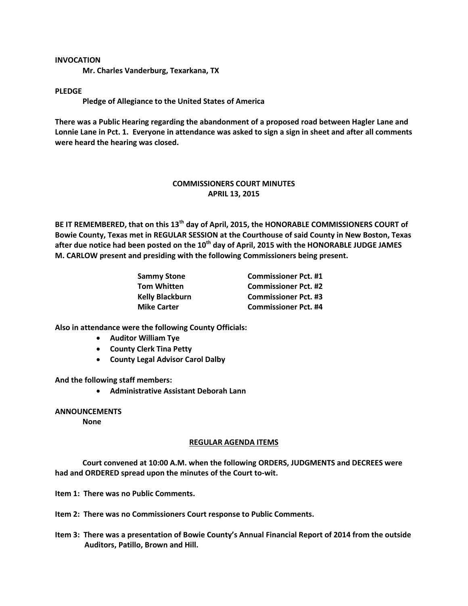## **INVOCATION**

**Mr. Charles Vanderburg, Texarkana, TX**

## **PLEDGE**

**Pledge of Allegiance to the United States of America**

**There was a Public Hearing regarding the abandonment of a proposed road between Hagler Lane and Lonnie Lane in Pct. 1. Everyone in attendance was asked to sign a sign in sheet and after all comments were heard the hearing was closed.**

## **COMMISSIONERS COURT MINUTES APRIL 13, 2015**

**BE IT REMEMBERED, that on this 13th day of April, 2015, the HONORABLE COMMISSIONERS COURT of Bowie County, Texas met in REGULAR SESSION at the Courthouse of said County in New Boston, Texas after due notice had been posted on the 10th day of April, 2015 with the HONORABLE JUDGE JAMES M. CARLOW present and presiding with the following Commissioners being present.**

| <b>Sammy Stone</b>     | <b>Commissioner Pct. #1</b> |
|------------------------|-----------------------------|
| <b>Tom Whitten</b>     | <b>Commissioner Pct. #2</b> |
| <b>Kelly Blackburn</b> | <b>Commissioner Pct. #3</b> |
| <b>Mike Carter</b>     | <b>Commissioner Pct. #4</b> |

**Also in attendance were the following County Officials:**

- **Auditor William Tye**
- **County Clerk Tina Petty**
- **County Legal Advisor Carol Dalby**

**And the following staff members:**

**Administrative Assistant Deborah Lann**

**ANNOUNCEMENTS**

**None**

## **REGULAR AGENDA ITEMS**

**Court convened at 10:00 A.M. when the following ORDERS, JUDGMENTS and DECREES were had and ORDERED spread upon the minutes of the Court to-wit.**

**Item 1: There was no Public Comments.**

**Item 2: There was no Commissioners Court response to Public Comments.**

**Item 3: There was a presentation of Bowie County's Annual Financial Report of 2014 from the outside Auditors, Patillo, Brown and Hill.**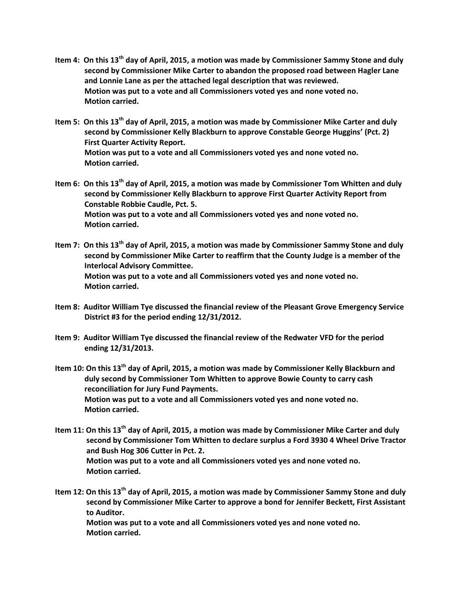- **Item 4: On this 13th day of April, 2015, a motion was made by Commissioner Sammy Stone and duly second by Commissioner Mike Carter to abandon the proposed road between Hagler Lane and Lonnie Lane as per the attached legal description that was reviewed. Motion was put to a vote and all Commissioners voted yes and none voted no. Motion carried.**
- **Item 5: On this 13th day of April, 2015, a motion was made by Commissioner Mike Carter and duly second by Commissioner Kelly Blackburn to approve Constable George Huggins' (Pct. 2) First Quarter Activity Report. Motion was put to a vote and all Commissioners voted yes and none voted no. Motion carried.**
- **Item 6: On this 13th day of April, 2015, a motion was made by Commissioner Tom Whitten and duly second by Commissioner Kelly Blackburn to approve First Quarter Activity Report from Constable Robbie Caudle, Pct. 5. Motion was put to a vote and all Commissioners voted yes and none voted no. Motion carried.**
- **Item 7: On this 13th day of April, 2015, a motion was made by Commissioner Sammy Stone and duly second by Commissioner Mike Carter to reaffirm that the County Judge is a member of the Interlocal Advisory Committee. Motion was put to a vote and all Commissioners voted yes and none voted no. Motion carried.**
- **Item 8: Auditor William Tye discussed the financial review of the Pleasant Grove Emergency Service District #3 for the period ending 12/31/2012.**
- **Item 9: Auditor William Tye discussed the financial review of the Redwater VFD for the period ending 12/31/2013.**
- **Item 10: On this 13th day of April, 2015, a motion was made by Commissioner Kelly Blackburn and duly second by Commissioner Tom Whitten to approve Bowie County to carry cash reconciliation for Jury Fund Payments. Motion was put to a vote and all Commissioners voted yes and none voted no. Motion carried.**
- **Item 11: On this 13th day of April, 2015, a motion was made by Commissioner Mike Carter and duly second by Commissioner Tom Whitten to declare surplus a Ford 3930 4 Wheel Drive Tractor and Bush Hog 306 Cutter in Pct. 2. Motion was put to a vote and all Commissioners voted yes and none voted no. Motion carried.**
- **Item 12: On this 13th day of April, 2015, a motion was made by Commissioner Sammy Stone and duly second by Commissioner Mike Carter to approve a bond for Jennifer Beckett, First Assistant to Auditor. Motion was put to a vote and all Commissioners voted yes and none voted no.**

 **Motion carried.**